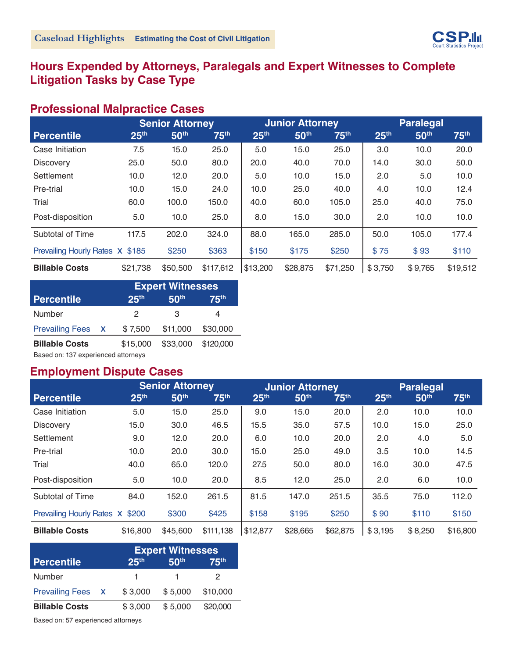

# **Hours Expended by Attorneys, Paralegals and Expert Witnesses to Complete Litigation Tasks by Case Type**

#### **Professional Malpractice Cases**

|                                 |                  | <b>Senior Attorney</b> |                  |                  | <b>Junior Attorney</b> |                  |                  | <b>Paralegal</b> |                  |
|---------------------------------|------------------|------------------------|------------------|------------------|------------------------|------------------|------------------|------------------|------------------|
| <b>Percentile</b>               | 25 <sup>th</sup> | 50 <sup>th</sup>       | 75 <sup>th</sup> | 25 <sup>th</sup> | 50 <sup>th</sup>       | 75 <sup>th</sup> | 25 <sup>th</sup> | 50 <sup>th</sup> | 75 <sup>th</sup> |
| Case Initiation                 | 7.5              | 15.0                   | 25.0             | 5.0              | 15.0                   | 25.0             | 3.0              | 10.0             | 20.0             |
| <b>Discovery</b>                | 25.0             | 50.0                   | 80.0             | 20.0             | 40.0                   | 70.0             | 14.0             | 30.0             | 50.0             |
| Settlement                      | 10.0             | 12.0                   | 20.0             | 5.0              | 10.0                   | 15.0             | 2.0              | 5.0              | 10.0             |
| Pre-trial                       | 10.0             | 15.0                   | 24.0             | 10.0             | 25.0                   | 40.0             | 4.0              | 10.0             | 12.4             |
| Trial                           | 60.0             | 100.0                  | 150.0            | 40.0             | 60.0                   | 105.0            | 25.0             | 40.0             | 75.0             |
| Post-disposition                | 5.0              | 10.0                   | 25.0             | 8.0              | 15.0                   | 30.0             | 2.0              | 10.0             | 10.0             |
| Subtotal of Time                | 117.5            | 202.0                  | 324.0            | 88.0             | 165.0                  | 285.0            | 50.0             | 105.0            | 177.4            |
| Prevailing Hourly Rates X \$185 |                  | \$250                  | \$363            | \$150            | \$175                  | \$250            | \$75             | \$93             | \$110            |
| <b>Billable Costs</b>           | \$21,738         | \$50,500               | \$117,612        | \$13,200         | \$28,875               | \$71,250         | \$3,750          | \$9,765          | \$19,512         |

|                                     |   |                  | <b>Expert Witnesses</b> |                  |
|-------------------------------------|---|------------------|-------------------------|------------------|
| <b>Percentile</b>                   |   | 25 <sup>th</sup> | 50 <sup>th</sup>        | 75 <sup>th</sup> |
| Number                              |   | 2                | З                       | 4                |
| <b>Prevailing Fees</b>              | X | \$7,500          | \$11,000                | \$30,000         |
| <b>Billable Costs</b>               |   | \$15,000         | \$33,000                | \$120,000        |
| Based on: 137 experienced attorneys |   |                  |                         |                  |

#### **Employment Dispute Cases**

|                                 |                  | <b>Senior Attorney</b> |                  |                  | <b>Junior Attorney</b> |                  |                  | <b>Paralegal</b> |                  |
|---------------------------------|------------------|------------------------|------------------|------------------|------------------------|------------------|------------------|------------------|------------------|
| <b>Percentile</b>               | 25 <sup>th</sup> | 50 <sup>th</sup>       | 75 <sup>th</sup> | 25 <sup>th</sup> | 50th                   | 75 <sup>th</sup> | 25 <sup>th</sup> | 50th             | 75 <sup>th</sup> |
| Case Initiation                 | 5.0              | 15.0                   | 25.0             | 9.0              | 15.0                   | 20.0             | 2.0              | 10.0             | 10.0             |
| <b>Discovery</b>                | 15.0             | 30.0                   | 46.5             | 15.5             | 35.0                   | 57.5             | 10.0             | 15.0             | 25.0             |
| Settlement                      | 9.0              | 12.0                   | 20.0             | 6.0              | 10.0                   | 20.0             | 2.0              | 4.0              | 5.0              |
| Pre-trial                       | 10.0             | 20.0                   | 30.0             | 15.0             | 25.0                   | 49.0             | 3.5              | 10.0             | 14.5             |
| Trial                           | 40.0             | 65.0                   | 120.0            | 27.5             | 50.0                   | 80.0             | 16.0             | 30.0             | 47.5             |
| Post-disposition                | 5.0              | 10.0                   | 20.0             | 8.5              | 12.0                   | 25.0             | 2.0              | 6.0              | 10.0             |
| Subtotal of Time                | 84.0             | 152.0                  | 261.5            | 81.5             | 147.0                  | 251.5            | 35.5             | 75.0             | 112.0            |
| Prevailing Hourly Rates X \$200 |                  | \$300                  | \$425            | \$158            | \$195                  | \$250            | \$90             | \$110            | \$150            |
| <b>Billable Costs</b>           | \$16,800         | \$45,600               | \$111,138        | \$12,877         | \$28,665               | \$62,875         | \$3,195          | \$8,250          | \$16,800         |

|                       |                  | <b>Expert Witnesses</b> |                  |
|-----------------------|------------------|-------------------------|------------------|
| <b>Percentile</b>     | 25 <sup>th</sup> | 50 <sup>th</sup>        | 75 <sup>th</sup> |
| Number                | $\mathbf{1}$     |                         | 2                |
| Prevailing Fees X     | \$3,000          | \$5,000                 | \$10,000         |
| <b>Billable Costs</b> | \$3,000          | \$5,000                 | \$20,000         |

Based on: 57 experienced attorneys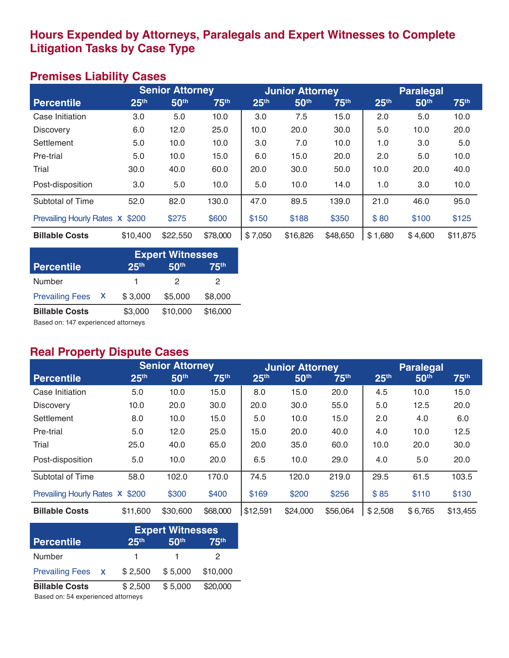# **Hours Expended by Attorneys, Paralegals and Expert Witnesses to Complete Litigation Tasks by Case Type**

# **Premises Liability Cases**

|                                 |                  | <b>Senior Attorney</b> |                  |                  | <b>Junior Attorney</b> |                  |                  | <b>Paralegal</b> |                  |
|---------------------------------|------------------|------------------------|------------------|------------------|------------------------|------------------|------------------|------------------|------------------|
| <b>Percentile</b>               | 25 <sup>th</sup> | 50 <sup>th</sup>       | 75 <sup>th</sup> | 25 <sup>th</sup> | 50th                   | 75 <sup>th</sup> | 25 <sup>th</sup> | 50 <sup>th</sup> | 75 <sup>th</sup> |
| Case Initiation                 | 3.0              | 5.0                    | 10.0             | 3.0              | 7.5                    | 15.0             | 2.0              | 5.0              | 10.0             |
| <b>Discovery</b>                | 6.0              | 12.0                   | 25.0             | 10.0             | 20.0                   | 30.0             | 5.0              | 10.0             | 20.0             |
| Settlement                      | 5.0              | 10.0                   | 10.0             | 3.0              | 7.0                    | 10.0             | 1.0              | 3.0              | 5.0              |
| Pre-trial                       | 5.0              | 10.0                   | 15.0             | 6.0              | 15.0                   | 20.0             | 2.0              | 5.0              | 10.0             |
| Trial                           | 30.0             | 40.0                   | 60.0             | 20.0             | 30.0                   | 50.0             | 10.0             | 20.0             | 40.0             |
| Post-disposition                | 3.0              | 5.0                    | 10.0             | 5.0              | 10.0                   | 14.0             | 1.0              | 3.0              | 10.0             |
| Subtotal of Time                | 52.0             | 82.0                   | 130.0            | 47.0             | 89.5                   | 139.0            | 21.0             | 46.0             | 95.0             |
| Prevailing Hourly Rates X \$200 |                  | \$275                  | \$600            | \$150            | \$188                  | \$350            | \$80             | \$100            | \$125            |
| <b>Billable Costs</b>           | \$10,400         | \$22,550               | \$78,000         | \$7,050          | \$16,826               | \$48,650         | \$1,680          | \$4,600          | \$11,875         |

|                        |    |                  | <b>Expert Witnesses</b> |                  |
|------------------------|----|------------------|-------------------------|------------------|
| <b>Percentile</b>      |    | 25 <sup>th</sup> | 50 <sup>th</sup>        | 75 <sup>th</sup> |
| <b>Number</b>          |    | 1.               | 2                       | 2                |
| <b>Prevailing Fees</b> | X. | \$3,000          | \$5,000                 | \$8,000          |
| <b>Billable Costs</b>  |    | \$3,000          | \$10,000                | \$16,000         |

Based on: 147 experienced attorneys

### **Real Property Dispute Cases**

|                                 |                  | <b>Senior Attorney</b> |                  |                  | <b>Junior Attorney</b> |          |                  | <b>Paralegal</b> |                  |
|---------------------------------|------------------|------------------------|------------------|------------------|------------------------|----------|------------------|------------------|------------------|
| <b>Percentile</b>               | 25 <sup>th</sup> | 50 <sup>th</sup>       | 75 <sup>th</sup> | 25 <sup>th</sup> | 50th                   | 75th     | 25 <sup>th</sup> | 50th             | 75 <sup>th</sup> |
| Case Initiation                 | 5.0              | 10.0                   | 15.0             | 8.0              | 15.0                   | 20.0     | 4.5              | 10.0             | 15.0             |
| <b>Discovery</b>                | 10.0             | 20.0                   | 30.0             | 20.0             | 30.0                   | 55.0     | 5.0              | 12.5             | 20.0             |
| Settlement                      | 8.0              | 10.0                   | 15.0             | 5.0              | 10.0                   | 15.0     | 2.0              | 4.0              | 6.0              |
| Pre-trial                       | 5.0              | 12.0                   | 25.0             | 15.0             | 20.0                   | 40.0     | 4.0              | 10.0             | 12.5             |
| Trial                           | 25.0             | 40.0                   | 65.0             | 20.0             | 35.0                   | 60.0     | 10.0             | 20.0             | 30.0             |
| Post-disposition                | 5.0              | 10.0                   | 20.0             | 6.5              | 10.0                   | 29.0     | 4.0              | 5.0              | 20.0             |
| Subtotal of Time                | 58.0             | 102.0                  | 170.0            | 74.5             | 120.0                  | 219.0    | 29.5             | 61.5             | 103.5            |
| Prevailing Hourly Rates X \$200 |                  | \$300                  | \$400            | \$169            | \$200                  | \$256    | \$85             | \$110            | \$130            |
| <b>Billable Costs</b>           | \$11,600         | \$30,600               | \$68,000         | \$12,591         | \$24,000               | \$56,064 | \$2,508          | \$6,765          | \$13,455         |

|                                    |                  | <b>Expert Witnesses</b> |                  |
|------------------------------------|------------------|-------------------------|------------------|
| <b>Percentile</b>                  | 25 <sup>th</sup> | 50 <sup>th</sup>        | 75 <sup>th</sup> |
| Number                             | 1.               |                         | 2                |
| Prevailing Fees x                  | \$2,500          | \$5,000                 | \$10,000         |
| <b>Billable Costs</b>              | \$2,500          | \$5,000                 | \$20,000         |
| Based on: 54 experienced attorneys |                  |                         |                  |